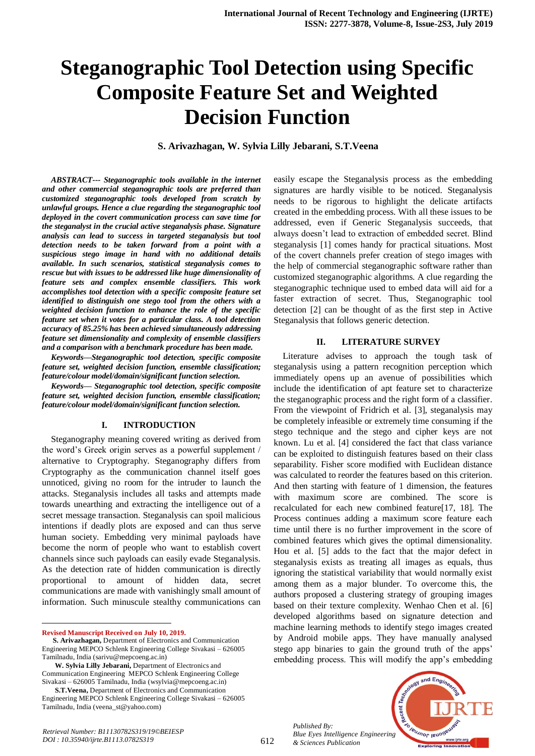# **Steganographic Tool Detection using Specific Composite Feature Set and Weighted Decision Function**

**S. Arivazhagan, W. Sylvia Lilly Jebarani, S.T.Veena**

*ABSTRACT--- Steganographic tools available in the internet and other commercial steganographic tools are preferred than customized steganographic tools developed from scratch by unlawful groups. Hence a clue regarding the steganographic tool deployed in the covert communication process can save time for the steganalyst in the crucial active steganalysis phase. Signature analysis can lead to success in targeted steganalysis but tool detection needs to be taken forward from a point with a suspicious stego image in hand with no additional details available. In such scenarios, statistical steganalysis comes to rescue but with issues to be addressed like huge dimensionality of feature sets and complex ensemble classifiers. This work accomplishes tool detection with a specific composite feature set identified to distinguish one stego tool from the others with a weighted decision function to enhance the role of the specific feature set when it votes for a particular class. A tool detection accuracy of 85.25% has been achieved simultaneously addressing feature set dimensionality and complexity of ensemble classifiers and a comparison with a benchmark procedure has been made.*

*Keywords—Steganographic tool detection, specific composite feature set, weighted decision function, ensemble classification; feature/colour model/domain/significant function selection.*

*Keywords— Steganographic tool detection, specific composite feature set, weighted decision function, ensemble classification; feature/colour model/domain/significant function selection.*

#### **I. INTRODUCTION**

Steganography meaning covered writing as derived from the word's Greek origin serves as a powerful supplement / alternative to Cryptography. Steganography differs from Cryptography as the communication channel itself goes unnoticed, giving no room for the intruder to launch the attacks. Steganalysis includes all tasks and attempts made towards unearthing and extracting the intelligence out of a secret message transaction. Steganalysis can spoil malicious intentions if deadly plots are exposed and can thus serve human society. Embedding very minimal payloads have become the norm of people who want to establish covert channels since such payloads can easily evade Steganalysis. As the detection rate of hidden communication is directly proportional to amount of hidden data, secret communications are made with vanishingly small amount of information. Such minuscule stealthy communications can

**Revised Manuscript Received on July 10, 2019.**

 $\ddot{\phantom{a}}$ 

easily escape the Steganalysis process as the embedding signatures are hardly visible to be noticed. Steganalysis needs to be rigorous to highlight the delicate artifacts created in the embedding process. With all these issues to be addressed, even if Generic Steganalysis succeeds, that always doesn't lead to extraction of embedded secret. Blind steganalysis [1] comes handy for practical situations. Most of the covert channels prefer creation of stego images with the help of commercial steganographic software rather than customized steganographic algorithms. A clue regarding the steganographic technique used to embed data will aid for a faster extraction of secret. Thus, Steganographic tool detection [2] can be thought of as the first step in Active Steganalysis that follows generic detection.

#### **II. LITERATURE SURVEY**

Literature advises to approach the tough task of steganalysis using a pattern recognition perception which immediately opens up an avenue of possibilities which include the identification of apt feature set to characterize the steganographic process and the right form of a classifier. From the viewpoint of Fridrich et al. [3], steganalysis may be completely infeasible or extremely time consuming if the stego technique and the stego and cipher keys are not known. Lu et al. [4] considered the fact that class variance can be exploited to distinguish features based on their class separability. Fisher score modified with Euclidean distance was calculated to reorder the features based on this criterion. And then starting with feature of 1 dimension, the features with maximum score are combined. The score is recalculated for each new combined feature[17, 18]. The Process continues adding a maximum score feature each time until there is no further improvement in the score of combined features which gives the optimal dimensionality. Hou et al. [5] adds to the fact that the major defect in steganalysis exists as treating all images as equals, thus ignoring the statistical variability that would normally exist among them as a major blunder. To overcome this, the authors proposed a clustering strategy of grouping images based on their texture complexity. Wenhao Chen et al. [6] developed algorithms based on signature detection and machine learning methods to identify stego images created by Android mobile apps. They have manually analysed stego app binaries to gain the ground truth of the apps' embedding process. This will modify the app's embedding

*Published By: Blue Eyes Intelligence Engineering & Sciences Publication* 



**S. Arivazhagan,** Department of Electronics and Communication Engineering MEPCO Schlenk Engineering College Sivakasi – 626005 Tamilnadu, India (sarivu@mepcoeng.ac.in)

**W. Sylvia Lilly Jebarani,** Department of Electronics and Communication Engineering MEPCO Schlenk Engineering College Sivakasi – 626005 Tamilnadu, India (wsylvia@mepcoeng.ac.in)

**S.T.Veena,** Department of Electronics and Communication Engineering MEPCO Schlenk Engineering College Sivakasi – 626005 Tamilnadu, India (veena\_st@yahoo.com)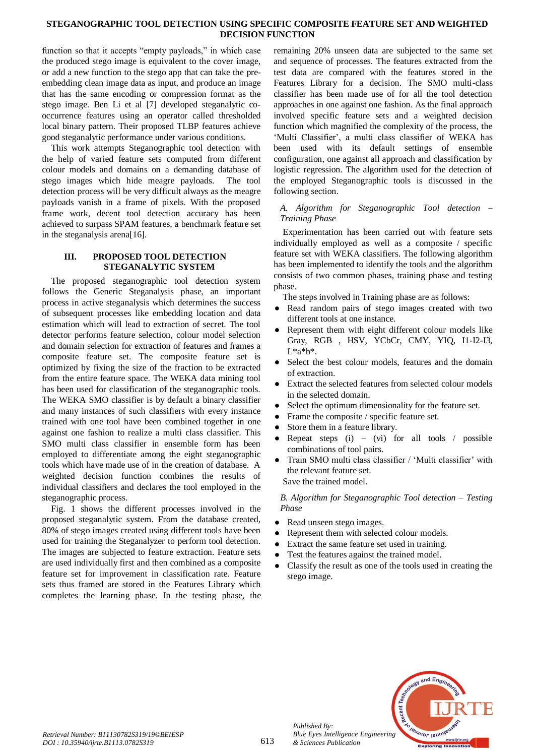### **STEGANOGRAPHIC TOOL DETECTION USING SPECIFIC COMPOSITE FEATURE SET AND WEIGHTED DECISION FUNCTION**

function so that it accepts "empty payloads," in which case the produced stego image is equivalent to the cover image, or add a new function to the stego app that can take the preembedding clean image data as input, and produce an image that has the same encoding or compression format as the stego image. Ben Li et al [7] developed steganalytic cooccurrence features using an operator called thresholded local binary pattern. Their proposed TLBP features achieve good steganalytic performance under various conditions.

This work attempts Steganographic tool detection with the help of varied feature sets computed from different colour models and domains on a demanding database of stego images which hide meagre payloads. The tool detection process will be very difficult always as the meagre payloads vanish in a frame of pixels. With the proposed frame work, decent tool detection accuracy has been achieved to surpass SPAM features, a benchmark feature set in the steganalysis arena[16].

#### **III. PROPOSED TOOL DETECTION STEGANALYTIC SYSTEM**

The proposed steganographic tool detection system follows the Generic Steganalysis phase, an important process in active steganalysis which determines the success of subsequent processes like embedding location and data estimation which will lead to extraction of secret. The tool detector performs feature selection, colour model selection and domain selection for extraction of features and frames a composite feature set. The composite feature set is optimized by fixing the size of the fraction to be extracted from the entire feature space. The WEKA data mining tool has been used for classification of the steganographic tools. The WEKA SMO classifier is by default a binary classifier and many instances of such classifiers with every instance trained with one tool have been combined together in one against one fashion to realize a multi class classifier. This SMO multi class classifier in ensemble form has been employed to differentiate among the eight steganographic tools which have made use of in the creation of database. A weighted decision function combines the results of individual classifiers and declares the tool employed in the steganographic process.

Fig. 1 shows the different processes involved in the proposed steganalytic system. From the database created, 80% of stego images created using different tools have been used for training the Steganalyzer to perform tool detection. The images are subjected to feature extraction. Feature sets are used individually first and then combined as a composite feature set for improvement in classification rate. Feature sets thus framed are stored in the Features Library which completes the learning phase. In the testing phase, the

remaining 20% unseen data are subjected to the same set and sequence of processes. The features extracted from the test data are compared with the features stored in the Features Library for a decision. The SMO multi-class classifier has been made use of for all the tool detection approaches in one against one fashion. As the final approach involved specific feature sets and a weighted decision function which magnified the complexity of the process, the 'Multi Classifier', a multi class classifier of WEKA has been used with its default settings of ensemble configuration, one against all approach and classification by logistic regression. The algorithm used for the detection of the employed Steganographic tools is discussed in the following section.

# *A. Algorithm for Steganographic Tool detection – Training Phase*

Experimentation has been carried out with feature sets individually employed as well as a composite / specific feature set with WEKA classifiers. The following algorithm has been implemented to identify the tools and the algorithm consists of two common phases, training phase and testing phase.

The steps involved in Training phase are as follows:

- Read random pairs of stego images created with two different tools at one instance.
- Represent them with eight different colour models like Gray, RGB , HSV, YCbCr, CMY, YIQ, I1-I2-I3, L\*a\*b\*.
- Select the best colour models, features and the domain of extraction.
- Extract the selected features from selected colour models in the selected domain.
- Select the optimum dimensionality for the feature set.
- Frame the composite / specific feature set.
- Store them in a feature library.
- Repeat steps  $(i)$   $(vi)$  for all tools / possible combinations of tool pairs.
- Train SMO multi class classifier / 'Multi classifier' with the relevant feature set. Save the trained model.

*B. Algorithm for Steganographic Tool detection – Testing Phase*

- Read unseen stego images.
- Represent them with selected colour models.
- Extract the same feature set used in training.
- Test the features against the trained model.
- Classify the result as one of the tools used in creating the stego image.



*Published By:*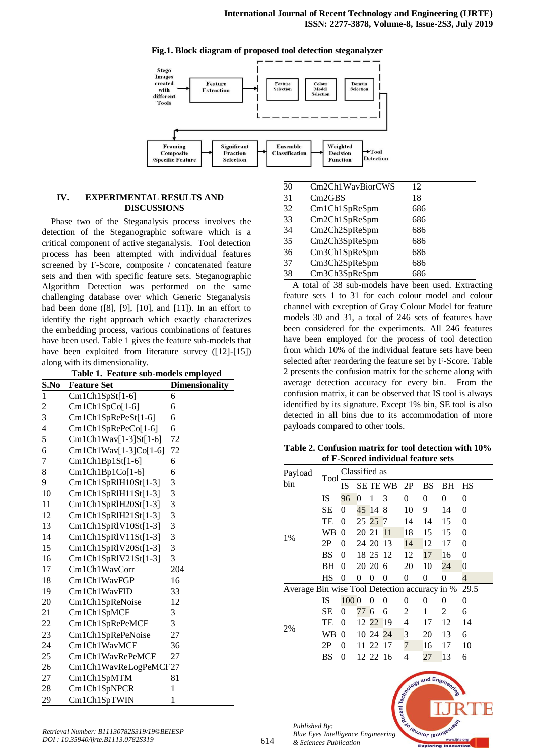

#### **Fig.1. Block diagram of proposed tool detection steganalyzer**

#### **IV. EXPERIMENTAL RESULTS AND DISCUSSIONS**

Phase two of the Steganalysis process involves the detection of the Steganographic software which is a critical component of active steganalysis. Tool detection process has been attempted with individual features screened by F-Score, composite / concatenated feature sets and then with specific feature sets. Steganographic Algorithm Detection was performed on the same challenging database over which Generic Steganalysis had been done  $([8], [9], [10],$  and  $[11]$ ). In an effort to identify the right approach which exactly characterizes the embedding process, various combinations of features have been used. Table 1 gives the feature sub-models that have been exploited from literature survey ([12]-[15]) along with its dimensionality.

**Table 1. Feature sub-models employed**

|                         | таріє 1. теапіте sub-models етрюуец |                       |
|-------------------------|-------------------------------------|-----------------------|
| S.No                    | <b>Feature Set</b>                  | <b>Dimensionality</b> |
| 1                       | Cm1Ch1SpSt[1-6]                     | 6                     |
| $\overline{\mathbf{c}}$ | $Cm1Ch1SpCo[1-6]$                   | 6                     |
| 3                       | Cm1Ch1SpRePeSt[1-6]                 | 6                     |
| $\overline{4}$          | Cm1Ch1SpRePeCo[1-6]                 | 6                     |
| 5                       | Cm1Ch1Wav[1-3]St[1-6]               | 72                    |
| 6                       | Cm1Ch1Wav[1-3]Co[1-6]               | 72                    |
| 7                       | $Cm1Ch1Bp1St[1-6]$                  | 6                     |
| 8                       | $Cm1Ch1Bp1Co[1-6]$                  | 6                     |
| 9                       | Cm1Ch1SpRlH10St[1-3]                | 3                     |
| 10                      | Cm1Ch1SpRlH11St[1-3]                | 3                     |
| 11                      | Cm1Ch1SpRlH20St[1-3]                | 3                     |
| 12                      | Cm1Ch1SpRIH21St[1-3]                | 3                     |
| 13                      | Cm1Ch1SpRIV10St[1-3]                | 3                     |
| 14                      | Cm1Ch1SpRIV11St[1-3]                | 3                     |
| 15                      | Cm1Ch1SpRlV20St[1-3]                | 3                     |
| 16                      | Cm1Ch1SpRIV21St[1-3]                | 3                     |
| 17                      | Cm1Ch1WayCorr                       | 204                   |
| 18                      | Cm1Ch1WavFGP                        | 16                    |
| 19                      | Cm1Ch1WavFID                        | 33                    |
| 20                      | Cm1Ch1SpReNoise                     | 12                    |
| 21                      | Cm1Ch1SpMCF                         | 3                     |
| 22                      | Cm1Ch1SpRePeMCF                     | 3                     |
| 23                      | Cm1Ch1SpRePeNoise                   | 27                    |
| 24                      | Cm1Ch1WavMCF                        | 36                    |
| 25                      | Cm1Ch1WavRePeMCF                    | 27                    |
| 26                      | Cm1Ch1WavReLogPeMCF27               |                       |
| 27                      | Cm1Ch1SpMTM                         | 81                    |
| 28                      | Cm1Ch1SpNPCR                        | 1                     |
| 29                      | Cm1Ch1SpTWIN                        | 1                     |

| 30 | Cm2Ch1WayBiorCWS | 12  |  |
|----|------------------|-----|--|
| 31 | Cm2GBS           | 18  |  |
| 32 | Cm1Ch1SpReSpm    | 686 |  |
| 33 | Cm2Ch1SpReSpm    | 686 |  |
| 34 | Cm2Ch2SpReSpm    | 686 |  |
| 35 | Cm2Ch3SpReSpm    | 686 |  |
| 36 | Cm3Ch1SpReSpm    | 686 |  |
| 37 | Cm3Ch2SpReSpm    | 686 |  |
| 38 | Cm3Ch3SpReSpm    | 686 |  |
|    |                  |     |  |

A total of 38 sub-models have been used. Extracting feature sets 1 to 31 for each colour model and colour channel with exception of Gray Colour Model for feature models 30 and 31, a total of 246 sets of features have been considered for the experiments. All 246 features have been employed for the process of tool detection from which 10% of the individual feature sets have been selected after reordering the feature set by F-Score. Table 2 presents the confusion matrix for the scheme along with average detection accuracy for every bin. From the confusion matrix, it can be observed that IS tool is always identified by its signature. Except 1% bin, SE tool is also detected in all bins due to its accommodation of more payloads compared to other tools.

**Table 2. Confusion matrix for tool detection with 10% of F-Scored individual feature sets**

| Payload                                       | Tool      |          | Classified as  |           |                 |                |    |              |                |
|-----------------------------------------------|-----------|----------|----------------|-----------|-----------------|----------------|----|--------------|----------------|
| bin                                           |           | IS       |                |           | <b>SE TE WB</b> | 2P             | BS | ВH           | HS             |
|                                               | IS        | 96       | $\overline{0}$ | 1         | 3               | $\overline{0}$ | 0  | 0            | $\theta$       |
|                                               | SЕ        | 0        |                | 45 14     | 8               | 10             | 9  | 14           | 0              |
|                                               | TE        | 0        |                | 25 25 7   |                 | 14             | 14 | 15           | 0              |
| 1%                                            | WB        | $\theta$ | 20 21          |           | 11              | 18             | 15 | 15           | 0              |
|                                               | 2P        | 0        |                | 24 20 13  |                 | 14             | 12 | 17           | 0              |
|                                               | BS        | 0        |                | 18 25 12  |                 | 12             | 17 | 16           | 0              |
|                                               | BH        | 0        |                | 20, 20, 6 |                 | 20             | 10 | 24           | $\overline{0}$ |
|                                               | <b>HS</b> | 0        | 0              | 0         | 0               | 0              | 0  | 0            | 4              |
| Average Bin wise Tool Detection accuracy in % |           |          |                |           |                 |                |    |              | 29.5           |
|                                               | IS        | 1000     |                | $\theta$  | 0               | 0              | 0  | $\mathbf{0}$ | $\theta$       |
|                                               | SЕ        | 0        | 77             | 6         | 6               | 2              | 1  | 2            | 6              |
|                                               | TE        | 0        |                | 12 22 19  |                 | 4              | 17 | 12           | 14             |
| 2%                                            | WВ        | $\theta$ |                | 10 24 24  |                 | 3              | 20 | 13           | 6              |
|                                               | 2P        | 0        |                | 11 22 17  |                 | 7              | 16 | 17           | 10             |
|                                               | BS        | 0        |                | 12 22 16  |                 | 4              | 27 | 13           | 6              |
|                                               |           |          |                |           |                 |                |    |              |                |

 $ndEn$ 

leusnor leuc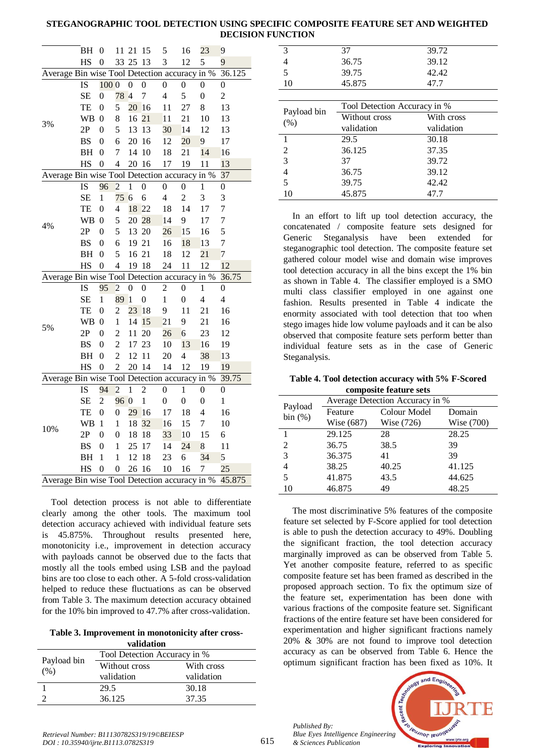# **STEGANOGRAPHIC TOOL DETECTION USING SPECIFIC COMPOSITE FEATURE SET AND WEIGHTED DECISION FUNCTION**

|                                               | ВH        | $\boldsymbol{0}$ | 11 21            |                  | 15               | 5                | 16                       | 23               | 9                |
|-----------------------------------------------|-----------|------------------|------------------|------------------|------------------|------------------|--------------------------|------------------|------------------|
|                                               | HS        | $\boldsymbol{0}$ |                  | 33 25 13         |                  | 3                | 12                       | 5                | 9                |
| Average Bin wise Tool Detection accuracy in % |           |                  |                  |                  |                  |                  |                          |                  | 36.125           |
|                                               | IS        | 1000             |                  | $\boldsymbol{0}$ | $\boldsymbol{0}$ | $\boldsymbol{0}$ | 0                        | 0                | $\boldsymbol{0}$ |
|                                               | <b>SE</b> | $\boldsymbol{0}$ | 78 4             |                  | $\overline{7}$   | $\overline{4}$   | 5                        | $\boldsymbol{0}$ | $\overline{c}$   |
|                                               | TE        | $\boldsymbol{0}$ | 5                | 20               | <sup>16</sup>    | 11               | 27                       | 8                | 13               |
|                                               | <b>WB</b> | $\overline{0}$   | 8                | 16 21            |                  | 11               | 21                       | 10               | 13               |
| 3%                                            | 2P        | $\theta$         | 5                | 13               | 13               | 30               | 14                       | 12               | 13               |
|                                               | <b>BS</b> | $\overline{0}$   | 6                | 20 16            |                  | 12               | 20                       | 9                | 17               |
|                                               | BH        | $\boldsymbol{0}$ | $\boldsymbol{7}$ | 14               | 10               | 18               | 21                       | 14               | 16               |
|                                               | HS        | $\overline{0}$   | $\overline{4}$   | 20 16            |                  | 17               | 19                       | 11               | 13               |
| Average Bin wise Tool Detection accuracy in % |           |                  |                  |                  |                  |                  |                          |                  | 37               |
|                                               | IS        | 96               | $\overline{c}$   | $\mathbf{1}$     | $\boldsymbol{0}$ | $\boldsymbol{0}$ | 0                        | 1                | 0                |
|                                               | <b>SE</b> | $\mathbf{1}$     | 75               | $6\overline{6}$  | 6                | $\overline{4}$   | $\overline{c}$           | 3                | 3                |
|                                               | TE        | 0                | 4                | 18               | 22               | 18               | 14                       | 17               | 7                |
| 4%                                            | WB        | 0                | 5                | 20 28            |                  | 14               | 9                        | 17               | 7                |
|                                               | 2P        | $\boldsymbol{0}$ | 5                | 13 20            |                  | 26               | 15                       | 16               | 5                |
|                                               | <b>BS</b> | $\boldsymbol{0}$ | 6                | 19 21            |                  | 16               | 18                       | 13               | 7                |
|                                               | BH        | $\boldsymbol{0}$ | 5                | 16 21            |                  | 18               | 12                       | 21               | $\overline{7}$   |
|                                               | HS        | $\boldsymbol{0}$ | $\overline{4}$   | 19 18            |                  | 24               | 11                       | 12               | 12               |
| Average Bin wise Tool Detection accuracy in % |           |                  |                  |                  |                  |                  |                          |                  | 36.75            |
|                                               | IS        | 95               | $\overline{c}$   | 0                | 0                | $\overline{2}$   | 0                        | 1                | 0                |
|                                               | <b>SE</b> | $\mathbf{1}$     | 89               | $\overline{1}$   | $\boldsymbol{0}$ | $\mathbf{1}$     | $\boldsymbol{0}$         | $\overline{4}$   | $\overline{4}$   |
|                                               | TE        | $\overline{0}$   | $\overline{c}$   | 23               | 18               | 9                | 11                       | 21               | 16               |
| 5%                                            | <b>WB</b> | $\boldsymbol{0}$ | $\mathbf 1$      | 14               | 15               | 21               | 9                        | 21               | 16               |
|                                               | 2P        | $\overline{0}$   | $\overline{c}$   | 11               | 20               | 26               | $\overline{6}$           | 23               | 12               |
|                                               | <b>BS</b> | $\boldsymbol{0}$ | $\overline{c}$   | 17               | 23               | 10               | 13                       | 16               | 19               |
|                                               | <b>BH</b> | $\boldsymbol{0}$ | $\overline{c}$   | 12               | 11               | 20               | $\overline{\mathcal{L}}$ | 38               | 13               |
|                                               | HS        | $\mathbf{0}$     | $\overline{2}$   | 20 14            |                  | 14               | 12                       | 19               | 19               |
| Average Bin wise Tool Detection accuracy in % |           |                  |                  |                  |                  |                  |                          |                  | 39.75            |
|                                               | IS        | 94               | $\overline{2}$   | $\mathbf{1}$     | $\overline{c}$   | $\boldsymbol{0}$ | 1                        | $\boldsymbol{0}$ | $\boldsymbol{0}$ |
|                                               | <b>SE</b> | $\overline{c}$   | 96 0             |                  | $\mathbf{1}$     | $\boldsymbol{0}$ | $\overline{0}$           | $\boldsymbol{0}$ | $\mathbf{1}$     |
|                                               | TE        | $\overline{0}$   | $\boldsymbol{0}$ | 29               | 16               | 17               | 18                       | $\overline{4}$   | 16               |
| 10%                                           | <b>WB</b> | 1                | 1                | 18               | 32               | 16               | 15                       | 7                | 10               |
|                                               | 2P        | $\overline{0}$   | $\boldsymbol{0}$ | 18               | 18               | 33               | 10                       | 15               | 6                |
|                                               | <b>BS</b> | 0                | $\mathbf{1}$     | 25               | 17               | 14               | 24                       | 8                | 11               |
|                                               | BH        | $\mathbf{1}$     | $\mathbf{1}$     | 12               | 18               | 23               | 6                        | 34               | 5                |
|                                               | HS        | $\overline{0}$   | $\overline{0}$   | 26               | 16               | 10               | 16                       | 7                | 25               |
| Average Bin wise Tool Detection accuracy in % |           |                  |                  |                  |                  |                  |                          |                  | 45.875           |

Tool detection process is not able to differentiate clearly among the other tools. The maximum tool detection accuracy achieved with individual feature sets is 45.875%. Throughout results presented here, monotonicity i.e., improvement in detection accuracy with payloads cannot be observed due to the facts that mostly all the tools embed using LSB and the payload bins are too close to each other. A 5-fold cross-validation helped to reduce these fluctuations as can be observed from Table 3. The maximum detection accuracy obtained for the 10% bin improved to 47.7% after cross-validation.

#### **Table 3. Improvement in monotonicity after crossvalidation**

| Tool Detection Accuracy in %<br>Payload bin |      | vanuation     |            |  |
|---------------------------------------------|------|---------------|------------|--|
|                                             | (% ) |               |            |  |
|                                             |      | Without cross | With cross |  |
| validation<br>validation                    |      |               |            |  |
| 30.18<br>29.5                               |      |               |            |  |
| 36.125<br>37.35                             |      |               |            |  |

| 3           | 37                           | 39.72      |
|-------------|------------------------------|------------|
| 4           | 36.75                        | 39.12      |
| 5           | 39.75                        | 42.42      |
| 10          | 45.875                       | 47.7       |
|             |                              |            |
|             | Tool Detection Accuracy in % |            |
| Payload bin | Without cross                | With cross |
| (% )        | validation                   | validation |
| 1           | 29.5                         | 30.18      |
| 2           | 36.125                       | 37.35      |
| 3           | 37                           | 39.72      |
| 4           | 36.75                        | 39.12      |
| 5           | 39.75                        | 42.42      |
|             |                              |            |

In an effort to lift up tool detection accuracy, the concatenated / composite feature sets designed for Generic Steganalysis have been extended for steganographic tool detection. The composite feature set gathered colour model wise and domain wise improves tool detection accuracy in all the bins except the 1% bin as shown in Table 4. The classifier employed is a SMO multi class classifier employed in one against one fashion. Results presented in Table 4 indicate the enormity associated with tool detection that too when stego images hide low volume payloads and it can be also observed that composite feature sets perform better than individual feature sets as in the case of Generic Steganalysis.

**Table 4. Tool detection accuracy with 5% F-Scored composite feature sets**

| Payload | Average Detection Accuracy in % |              |            |  |  |  |
|---------|---------------------------------|--------------|------------|--|--|--|
| bin (%) | Feature                         | Colour Model | Domain     |  |  |  |
|         | Wise (687)                      | Wise (726)   | Wise (700) |  |  |  |
|         | 29.125                          | 28           | 28.25      |  |  |  |
| 2       | 36.75                           | 38.5         | 39         |  |  |  |
| 3       | 36.375                          | 41           | 39         |  |  |  |
| 4       | 38.25                           | 40.25        | 41.125     |  |  |  |
| 5       | 41.875                          | 43.5         | 44.625     |  |  |  |
| 10      | 46.875                          | 49           | 48.25      |  |  |  |
|         |                                 |              |            |  |  |  |

The most discriminative 5% features of the composite feature set selected by F-Score applied for tool detection is able to push the detection accuracy to 49%. Doubling the significant fraction, the tool detection accuracy marginally improved as can be observed from Table 5. Yet another composite feature, referred to as specific composite feature set has been framed as described in the proposed approach section. To fix the optimum size of the feature set, experimentation has been done with various fractions of the composite feature set. Significant fractions of the entire feature set have been considered for experimentation and higher significant fractions namely 20% & 30% are not found to improve tool detection accuracy as can be observed from Table 6. Hence the optimum significant fraction has been fixed as 10%. It



*Published By:*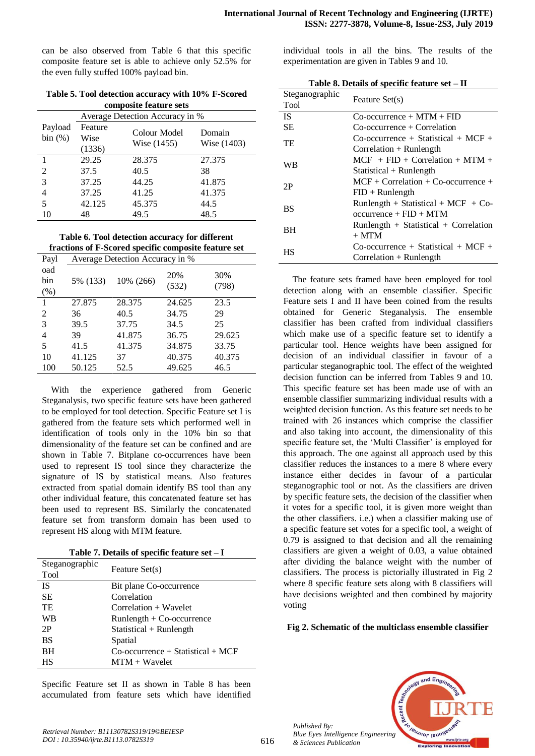can be also observed from Table 6 that this specific composite feature set is able to achieve only 52.5% for the even fully stuffed 100% payload bin.

|                        | Table 5. Tool detection accuracy with 10% F-Scored |  |  |  |  |
|------------------------|----------------------------------------------------|--|--|--|--|
| composite feature sets |                                                    |  |  |  |  |

|                    |                           | Average Detection Accuracy in % |                       |
|--------------------|---------------------------|---------------------------------|-----------------------|
| Payload<br>bin (%) | Feature<br>Wise<br>(1336) | Colour Model<br>Wise (1455)     | Domain<br>Wise (1403) |
|                    | 29.25                     | 28.375                          | 27.375                |
| 2                  | 37.5                      | 40.5                            | 38                    |
| 3                  | 37.25                     | 44.25                           | 41.875                |
| 4                  | 37.25                     | 41.25                           | 41.375                |
| 5                  | 42.125                    | 45.375                          | 44.5                  |
| 10                 | 48                        | 49.5                            | 48.5                  |

**Table 6. Tool detection accuracy for different fractions of F-Scored specific composite feature set**

| Payl   | Average Detection Accuracy in % |           |        |        |  |  |
|--------|---------------------------------|-----------|--------|--------|--|--|
| oad    |                                 |           | 20%    | 30%    |  |  |
| bin    | 5% (133)                        | 10% (266) | (532)  | (798)  |  |  |
| $(\%)$ |                                 |           |        |        |  |  |
| 1      | 27.875                          | 28.375    | 24.625 | 23.5   |  |  |
| 2      | 36                              | 40.5      | 34.75  | 29     |  |  |
| 3      | 39.5                            | 37.75     | 34.5   | 25     |  |  |
| 4      | 39                              | 41.875    | 36.75  | 29.625 |  |  |
| 5      | 41.5                            | 41.375    | 34.875 | 33.75  |  |  |
| 10     | 41.125                          | 37        | 40.375 | 40.375 |  |  |
| 100    | 50.125                          | 52.5      | 49.625 | 46.5   |  |  |

With the experience gathered from Generic Steganalysis, two specific feature sets have been gathered to be employed for tool detection. Specific Feature set I is gathered from the feature sets which performed well in identification of tools only in the 10% bin so that dimensionality of the feature set can be confined and are shown in Table 7. Bitplane co-occurrences have been used to represent IS tool since they characterize the signature of IS by statistical means. Also features extracted from spatial domain identify BS tool than any other individual feature, this concatenated feature set has been used to represent BS. Similarly the concatenated feature set from transform domain has been used to represent HS along with MTM feature.

**Table 7. Details of specific feature set – I**

| Steganographic<br>Tool | Feature Set(s)                             |
|------------------------|--------------------------------------------|
| IS                     | Bit plane Co-occurrence                    |
| <b>SE</b>              | Correlation                                |
| TE                     | Correlation + Wavelet                      |
| WB                     | $Runlength + Co-occurrence$                |
| 2P                     | $Statistical + Runlength$                  |
| <b>BS</b>              | Spatial                                    |
| BH                     | $Co\text{-}occurrence + Statistical + MCF$ |
| HS                     | $MTM + Wavelet$                            |

Specific Feature set II as shown in Table 8 has been accumulated from feature sets which have identified individual tools in all the bins. The results of the experimentation are given in Tables 9 and 10.

| Table 8. Details of specific feature set - II |  |  |  |
|-----------------------------------------------|--|--|--|
|-----------------------------------------------|--|--|--|

| Steganographic<br>Tool | Feature Set(s)                               |
|------------------------|----------------------------------------------|
| <b>IS</b>              | $Co\text{-}occurrence + MTM + FID$           |
| SЕ                     | $Co\text{-}occurrence + Correlation$         |
| TE                     | $Co\text{-}occurrence + Statistical + MCF +$ |
|                        | $Correlation + Runlength$                    |
| WB                     | $MCF$ + FID + Correlation + MTM +            |
|                        | $Statistical + Runlength$                    |
| 2P                     | $MCF + Correlation + Co-occurrence +$        |
|                        | $FID + Runlength$                            |
| <b>BS</b>              | Runlength + Statistical + MCF + Co-          |
|                        | $occurrence + FID + MTM$                     |
| BH                     | $Runlength + Statistical + Correlation$      |
|                        | $+$ MTM                                      |
| HS                     | $Co\text{-}occurrence + Statistical + MCF +$ |
|                        | Correlation $+$ Runlength                    |

The feature sets framed have been employed for tool detection along with an ensemble classifier. Specific Feature sets I and II have been coined from the results obtained for Generic Steganalysis. The ensemble classifier has been crafted from individual classifiers which make use of a specific feature set to identify a particular tool. Hence weights have been assigned for decision of an individual classifier in favour of a particular steganographic tool. The effect of the weighted decision function can be inferred from Tables 9 and 10. This specific feature set has been made use of with an ensemble classifier summarizing individual results with a weighted decision function. As this feature set needs to be trained with 26 instances which comprise the classifier and also taking into account, the dimensionality of this specific feature set, the 'Multi Classifier' is employed for this approach. The one against all approach used by this classifier reduces the instances to a mere 8 where every instance either decides in favour of a particular steganographic tool or not. As the classifiers are driven by specific feature sets, the decision of the classifier when it votes for a specific tool, it is given more weight than the other classifiers. i.e.) when a classifier making use of a specific feature set votes for a specific tool, a weight of 0.79 is assigned to that decision and all the remaining classifiers are given a weight of 0.03, a value obtained after dividing the balance weight with the number of classifiers. The process is pictorially illustrated in Fig 2 where 8 specific feature sets along with 8 classifiers will have decisions weighted and then combined by majority voting

#### **Fig 2. Schematic of the multiclass ensemble classifier**



*Published By:*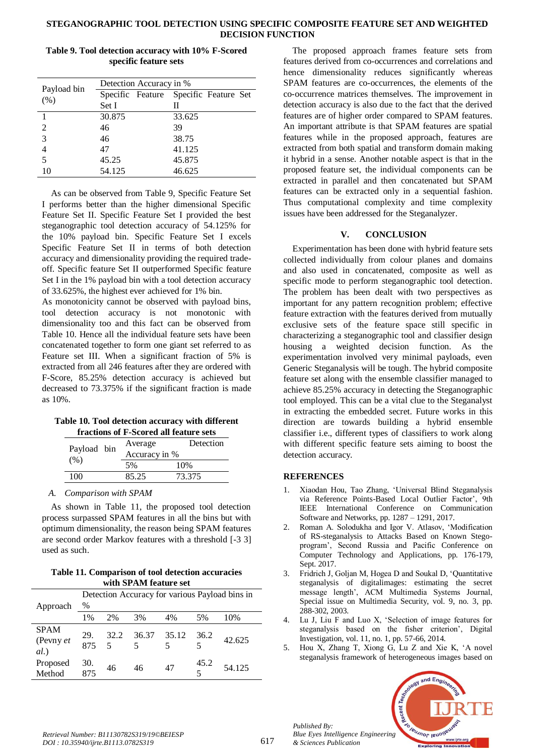### **STEGANOGRAPHIC TOOL DETECTION USING SPECIFIC COMPOSITE FEATURE SET AND WEIGHTED DECISION FUNCTION**

|                     | Detection Accuracy in %               |  |        |  |  |
|---------------------|---------------------------------------|--|--------|--|--|
| Payload bin<br>(% ) | Specific Feature Specific Feature Set |  |        |  |  |
|                     | Set I                                 |  | Н      |  |  |
|                     | 30.875                                |  | 33.625 |  |  |
| 2                   | 46                                    |  | 39     |  |  |
| 3                   | 46                                    |  | 38.75  |  |  |
| $\overline{4}$      | 47                                    |  | 41.125 |  |  |
| 5                   | 45.25                                 |  | 45.875 |  |  |
| 10                  | 54.125                                |  | 46.625 |  |  |

**Table 9. Tool detection accuracy with 10% F-Scored specific feature sets**

As can be observed from Table 9, Specific Feature Set I performs better than the higher dimensional Specific Feature Set II. Specific Feature Set I provided the best steganographic tool detection accuracy of 54.125% for the 10% payload bin. Specific Feature Set I excels Specific Feature Set II in terms of both detection accuracy and dimensionality providing the required tradeoff. Specific feature Set II outperformed Specific feature Set I in the 1% payload bin with a tool detection accuracy of 33.625%, the highest ever achieved for 1% bin.

As monotonicity cannot be observed with payload bins, tool detection accuracy is not monotonic with dimensionality too and this fact can be observed from Table 10. Hence all the individual feature sets have been concatenated together to form one giant set referred to as Feature set III. When a significant fraction of 5% is extracted from all 246 features after they are ordered with F-Score, 85.25% detection accuracy is achieved but decreased to 73.375% if the significant fraction is made as 10%.

#### **Table 10. Tool detection accuracy with different fractions of F-Scored all feature sets**

| Payload bin<br>(% ) |  | Average       | Detection |  |  |
|---------------------|--|---------------|-----------|--|--|
|                     |  | Accuracy in % |           |  |  |
|                     |  | 5%            | 10%       |  |  |
| 100                 |  | 85.25         | 73.375    |  |  |
|                     |  |               |           |  |  |

*A. Comparison with SPAM*

As shown in Table 11, the proposed tool detection process surpassed SPAM features in all the bins but with optimum dimensionality, the reason being SPAM features are second order Markov features with a threshold [-3 3] used as such.

**Table 11. Comparison of tool detection accuracies with SPAM feature set**

| Approach                        | Detection Accuracy for various Payload bins in<br>$\%$ |                  |                  |    |      |        |
|---------------------------------|--------------------------------------------------------|------------------|------------------|----|------|--------|
|                                 | 1%                                                     | 2%               | 3%               | 4% | 5%   | 10%    |
| <b>SPAM</b><br>(Pevny et<br>al. | 29.<br>875                                             | 32.2<br>$\sim$ 5 | 36.37 35.12<br>5 | 5  | 36.2 | 42.625 |
| Proposed<br>Method              | 30.<br>875                                             | 46               | 46               | 47 | 45.2 | 54.125 |

The proposed approach frames feature sets from features derived from co-occurrences and correlations and hence dimensionality reduces significantly whereas SPAM features are co-occurrences, the elements of the co-occurrence matrices themselves. The improvement in detection accuracy is also due to the fact that the derived features are of higher order compared to SPAM features. An important attribute is that SPAM features are spatial features while in the proposed approach, features are extracted from both spatial and transform domain making it hybrid in a sense. Another notable aspect is that in the proposed feature set, the individual components can be extracted in parallel and then concatenated but SPAM features can be extracted only in a sequential fashion. Thus computational complexity and time complexity issues have been addressed for the Steganalyzer.

# **V. CONCLUSION**

Experimentation has been done with hybrid feature sets collected individually from colour planes and domains and also used in concatenated, composite as well as specific mode to perform steganographic tool detection. The problem has been dealt with two perspectives as important for any pattern recognition problem; effective feature extraction with the features derived from mutually exclusive sets of the feature space still specific in characterizing a steganographic tool and classifier design housing a weighted decision function. As the experimentation involved very minimal payloads, even Generic Steganalysis will be tough. The hybrid composite feature set along with the ensemble classifier managed to achieve 85.25% accuracy in detecting the Steganographic tool employed. This can be a vital clue to the Steganalyst in extracting the embedded secret. Future works in this direction are towards building a hybrid ensemble classifier i.e., different types of classifiers to work along with different specific feature sets aiming to boost the detection accuracy.

# **REFERENCES**

- 1. Xiaodan Hou, Tao Zhang, 'Universal Blind Steganalysis via Reference Points-Based Local Outlier Factor', 9th IEEE International Conference on Communication Software and Networks, pp. 1287 – 1291, 2017.
- 2. Roman A. Solodukha and Igor V. Atlasov, 'Modification of RS-steganalysis to Attacks Based on Known Stegoprogram', Second Russia and Pacific Conference on Computer Technology and Applications, pp. 176-179, Sept. 2017.
- 3. Fridrich J, Goljan M, Hogea D and Soukal D, 'Quantitative steganalysis of digitalimages: estimating the secret message length', ACM Multimedia Systems Journal, Special issue on Multimedia Security, vol. 9, no. 3, pp. 288-302, 2003.
- 4. Lu J, Liu F and Luo X, 'Selection of image features for steganalysis based on the fisher criterion', Digital Investigation, vol. 11, no. 1, pp. 57-66, 2014.
- 5. Hou X, Zhang T, Xiong G, Lu Z and Xie K, 'A novel steganalysis framework of heterogeneous images based on



*Published By:*